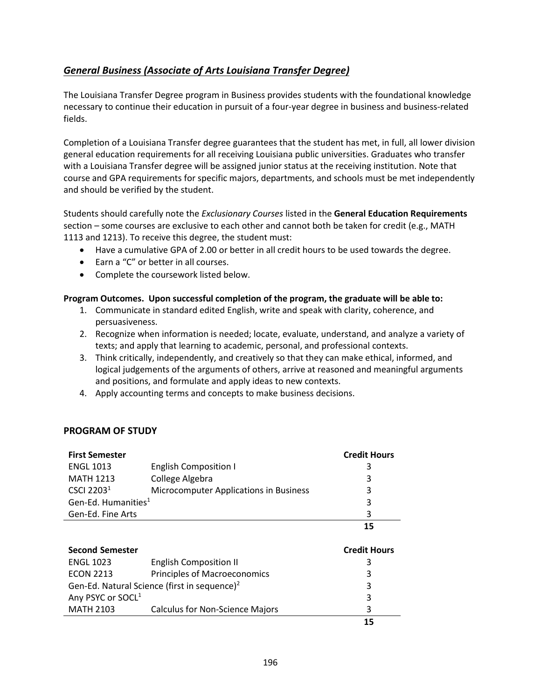## <span id="page-0-0"></span>*[General Business \(Associate of Arts Louisiana](#page-0-0) Transfer Degree)*

The Louisiana Transfer Degree program in Business provides students with the foundational knowledge necessary to continue their education in pursuit of a four-year degree in business and business-related fields.

Completion of a Louisiana Transfer degree guarantees that the student has met, in full, all lower division general education requirements for all receiving Louisiana public universities. Graduates who transfer with a Louisiana Transfer degree will be assigned junior status at the receiving institution. Note that course and GPA requirements for specific majors, departments, and schools must be met independently and should be verified by the student.

Students should carefully note the *Exclusionary Courses* listed in the **General Education Requirements** section – some courses are exclusive to each other and cannot both be taken for credit (e.g., MATH 1113 and 1213). To receive this degree, the student must:

- Have a cumulative GPA of 2.00 or better in all credit hours to be used towards the degree.
- Earn a "C" or better in all courses.
- Complete the coursework listed below.

## **Program Outcomes. Upon successful completion of the program, the graduate will be able to:**

- 1. Communicate in standard edited English, write and speak with clarity, coherence, and persuasiveness.
- 2. Recognize when information is needed; locate, evaluate, understand, and analyze a variety of texts; and apply that learning to academic, personal, and professional contexts.
- 3. Think critically, independently, and creatively so that they can make ethical, informed, and logical judgements of the arguments of others, arrive at reasoned and meaningful arguments and positions, and formulate and apply ideas to new contexts.
- 4. Apply accounting terms and concepts to make business decisions.

## **PROGRAM OF STUDY**

| <b>First Semester</b>                                    |                                        | <b>Credit Hours</b> |
|----------------------------------------------------------|----------------------------------------|---------------------|
| <b>ENGL 1013</b>                                         | <b>English Composition I</b>           | 3                   |
| <b>MATH 1213</b>                                         | College Algebra                        | 3                   |
| CSCI 2203 <sup>1</sup>                                   | Microcomputer Applications in Business | 3                   |
| Gen-Ed. Humanities <sup>1</sup>                          |                                        | 3                   |
| Gen-Ed. Fine Arts                                        |                                        | 3                   |
|                                                          |                                        | 15                  |
|                                                          |                                        |                     |
| <b>Second Semester</b>                                   |                                        | <b>Credit Hours</b> |
| <b>ENGL 1023</b>                                         | <b>English Composition II</b>          | 3                   |
| <b>ECON 2213</b>                                         | Principles of Macroeconomics           | 3                   |
| Gen-Ed. Natural Science (first in sequence) <sup>2</sup> |                                        | 3                   |
| Any PSYC or SOCL <sup>1</sup>                            |                                        | 3                   |
| <b>MATH 2103</b>                                         | <b>Calculus for Non-Science Majors</b> | 3                   |
|                                                          |                                        | 15                  |